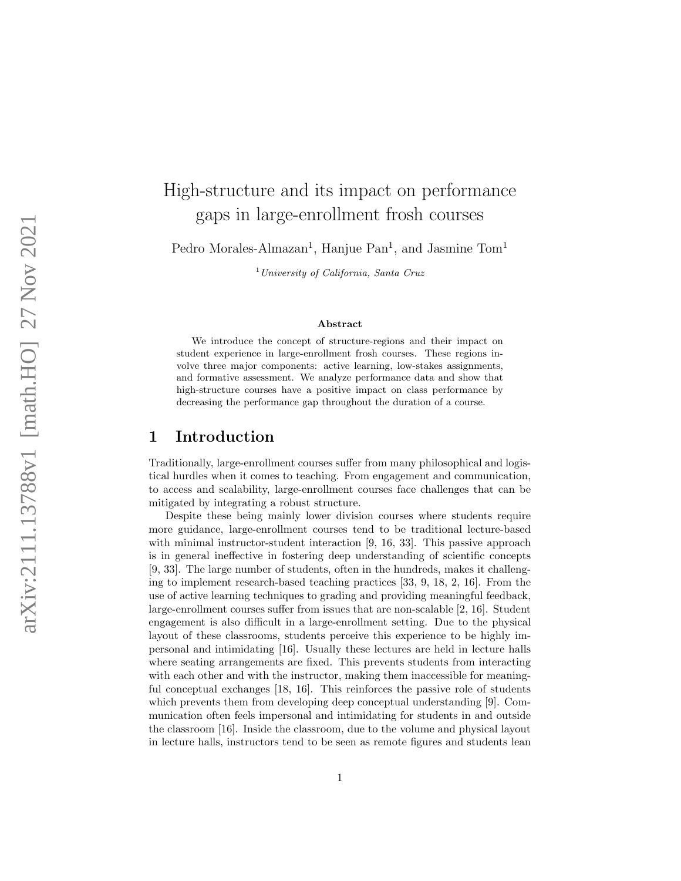# High-structure and its impact on performance gaps in large-enrollment frosh courses

Pedro Morales-Almazan<sup>1</sup>, Hanjue Pan<sup>1</sup>, and Jasmine Tom<sup>1</sup>

 $1$  University of California, Santa Cruz

#### Abstract

We introduce the concept of structure-regions and their impact on student experience in large-enrollment frosh courses. These regions involve three major components: active learning, low-stakes assignments, and formative assessment. We analyze performance data and show that high-structure courses have a positive impact on class performance by decreasing the performance gap throughout the duration of a course.

## 1 Introduction

Traditionally, large-enrollment courses suffer from many philosophical and logistical hurdles when it comes to teaching. From engagement and communication, to access and scalability, large-enrollment courses face challenges that can be mitigated by integrating a robust structure.

Despite these being mainly lower division courses where students require more guidance, large-enrollment courses tend to be traditional lecture-based with minimal instructor-student interaction [9, 16, 33]. This passive approach is in general ineffective in fostering deep understanding of scientific concepts [9, 33]. The large number of students, often in the hundreds, makes it challenging to implement research-based teaching practices [33, 9, 18, 2, 16]. From the use of active learning techniques to grading and providing meaningful feedback, large-enrollment courses suffer from issues that are non-scalable [2, 16]. Student engagement is also difficult in a large-enrollment setting. Due to the physical layout of these classrooms, students perceive this experience to be highly impersonal and intimidating [16]. Usually these lectures are held in lecture halls where seating arrangements are fixed. This prevents students from interacting with each other and with the instructor, making them inaccessible for meaningful conceptual exchanges [18, 16]. This reinforces the passive role of students which prevents them from developing deep conceptual understanding [9]. Communication often feels impersonal and intimidating for students in and outside the classroom [16]. Inside the classroom, due to the volume and physical layout in lecture halls, instructors tend to be seen as remote figures and students lean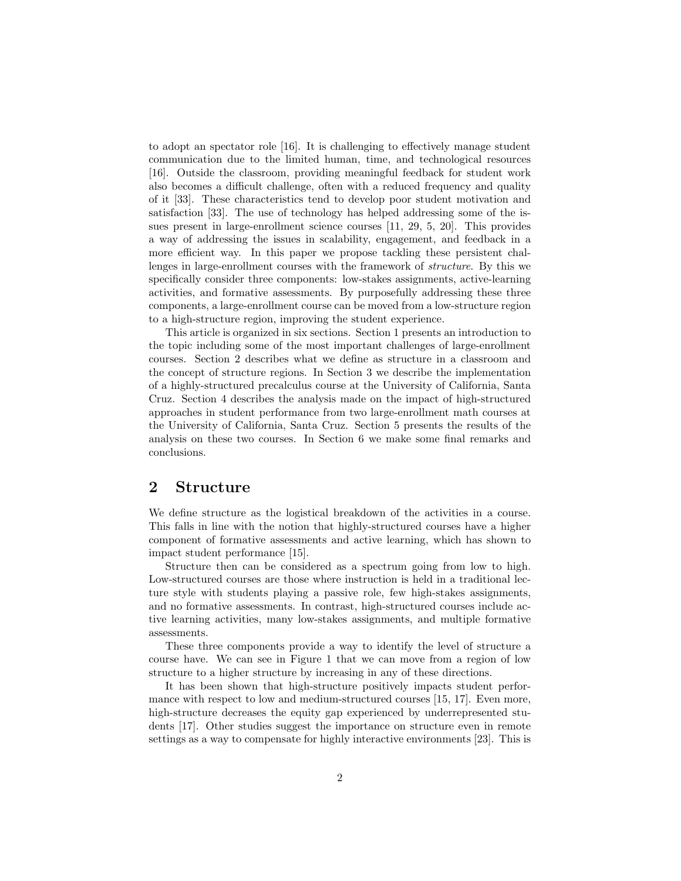to adopt an spectator role [16]. It is challenging to effectively manage student communication due to the limited human, time, and technological resources [16]. Outside the classroom, providing meaningful feedback for student work also becomes a difficult challenge, often with a reduced frequency and quality of it [33]. These characteristics tend to develop poor student motivation and satisfaction [33]. The use of technology has helped addressing some of the issues present in large-enrollment science courses [11, 29, 5, 20]. This provides a way of addressing the issues in scalability, engagement, and feedback in a more efficient way. In this paper we propose tackling these persistent challenges in large-enrollment courses with the framework of structure. By this we specifically consider three components: low-stakes assignments, active-learning activities, and formative assessments. By purposefully addressing these three components, a large-enrollment course can be moved from a low-structure region to a high-structure region, improving the student experience.

This article is organized in six sections. Section 1 presents an introduction to the topic including some of the most important challenges of large-enrollment courses. Section 2 describes what we define as structure in a classroom and the concept of structure regions. In Section 3 we describe the implementation of a highly-structured precalculus course at the University of California, Santa Cruz. Section 4 describes the analysis made on the impact of high-structured approaches in student performance from two large-enrollment math courses at the University of California, Santa Cruz. Section 5 presents the results of the analysis on these two courses. In Section 6 we make some final remarks and conclusions.

## 2 Structure

We define structure as the logistical breakdown of the activities in a course. This falls in line with the notion that highly-structured courses have a higher component of formative assessments and active learning, which has shown to impact student performance [15].

Structure then can be considered as a spectrum going from low to high. Low-structured courses are those where instruction is held in a traditional lecture style with students playing a passive role, few high-stakes assignments, and no formative assessments. In contrast, high-structured courses include active learning activities, many low-stakes assignments, and multiple formative assessments.

These three components provide a way to identify the level of structure a course have. We can see in Figure 1 that we can move from a region of low structure to a higher structure by increasing in any of these directions.

It has been shown that high-structure positively impacts student performance with respect to low and medium-structured courses [15, 17]. Even more, high-structure decreases the equity gap experienced by underrepresented students [17]. Other studies suggest the importance on structure even in remote settings as a way to compensate for highly interactive environments [23]. This is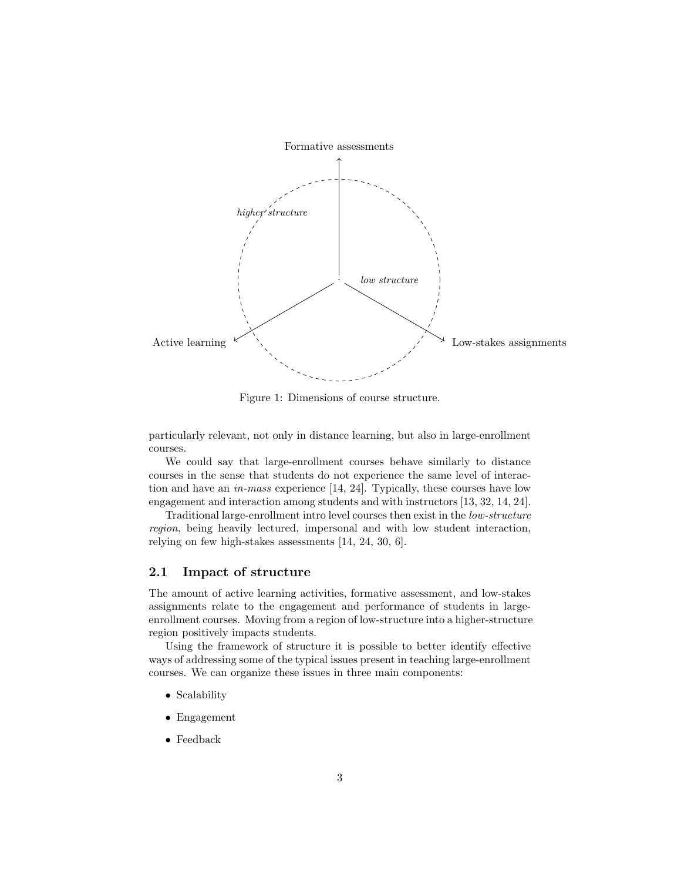

Figure 1: Dimensions of course structure.

particularly relevant, not only in distance learning, but also in large-enrollment courses.

We could say that large-enrollment courses behave similarly to distance courses in the sense that students do not experience the same level of interaction and have an in-mass experience [14, 24]. Typically, these courses have low engagement and interaction among students and with instructors [13, 32, 14, 24].

Traditional large-enrollment intro level courses then exist in the low-structure region, being heavily lectured, impersonal and with low student interaction, relying on few high-stakes assessments [14, 24, 30, 6].

### 2.1 Impact of structure

The amount of active learning activities, formative assessment, and low-stakes assignments relate to the engagement and performance of students in largeenrollment courses. Moving from a region of low-structure into a higher-structure region positively impacts students.

Using the framework of structure it is possible to better identify effective ways of addressing some of the typical issues present in teaching large-enrollment courses. We can organize these issues in three main components:

- Scalability
- Engagement
- Feedback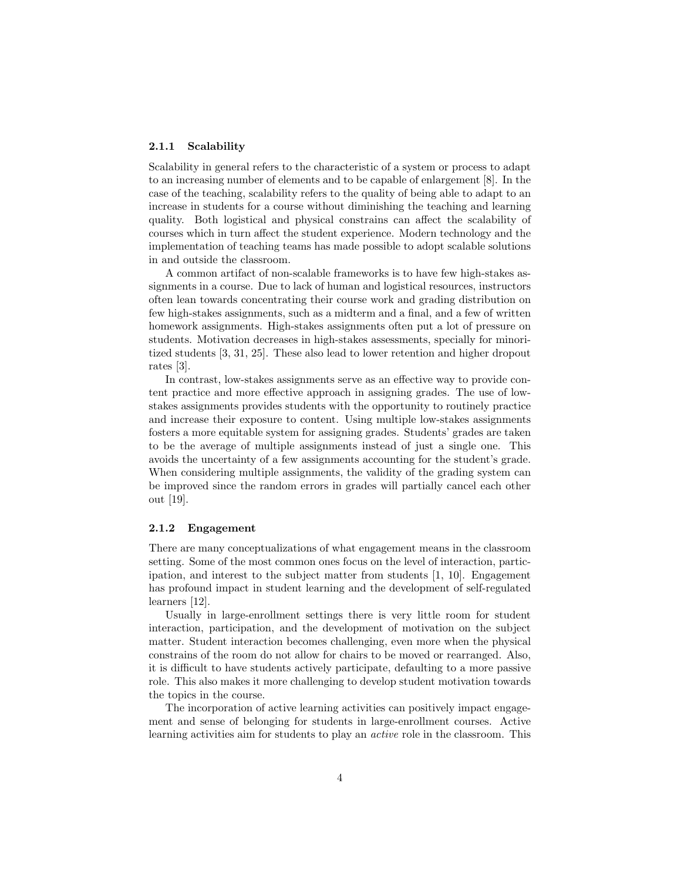### 2.1.1 Scalability

Scalability in general refers to the characteristic of a system or process to adapt to an increasing number of elements and to be capable of enlargement [8]. In the case of the teaching, scalability refers to the quality of being able to adapt to an increase in students for a course without diminishing the teaching and learning quality. Both logistical and physical constrains can affect the scalability of courses which in turn affect the student experience. Modern technology and the implementation of teaching teams has made possible to adopt scalable solutions in and outside the classroom.

A common artifact of non-scalable frameworks is to have few high-stakes assignments in a course. Due to lack of human and logistical resources, instructors often lean towards concentrating their course work and grading distribution on few high-stakes assignments, such as a midterm and a final, and a few of written homework assignments. High-stakes assignments often put a lot of pressure on students. Motivation decreases in high-stakes assessments, specially for minoritized students [3, 31, 25]. These also lead to lower retention and higher dropout rates [3].

In contrast, low-stakes assignments serve as an effective way to provide content practice and more effective approach in assigning grades. The use of lowstakes assignments provides students with the opportunity to routinely practice and increase their exposure to content. Using multiple low-stakes assignments fosters a more equitable system for assigning grades. Students' grades are taken to be the average of multiple assignments instead of just a single one. This avoids the uncertainty of a few assignments accounting for the student's grade. When considering multiple assignments, the validity of the grading system can be improved since the random errors in grades will partially cancel each other out [19].

### 2.1.2 Engagement

There are many conceptualizations of what engagement means in the classroom setting. Some of the most common ones focus on the level of interaction, participation, and interest to the subject matter from students [1, 10]. Engagement has profound impact in student learning and the development of self-regulated learners [12].

Usually in large-enrollment settings there is very little room for student interaction, participation, and the development of motivation on the subject matter. Student interaction becomes challenging, even more when the physical constrains of the room do not allow for chairs to be moved or rearranged. Also, it is difficult to have students actively participate, defaulting to a more passive role. This also makes it more challenging to develop student motivation towards the topics in the course.

The incorporation of active learning activities can positively impact engagement and sense of belonging for students in large-enrollment courses. Active learning activities aim for students to play an active role in the classroom. This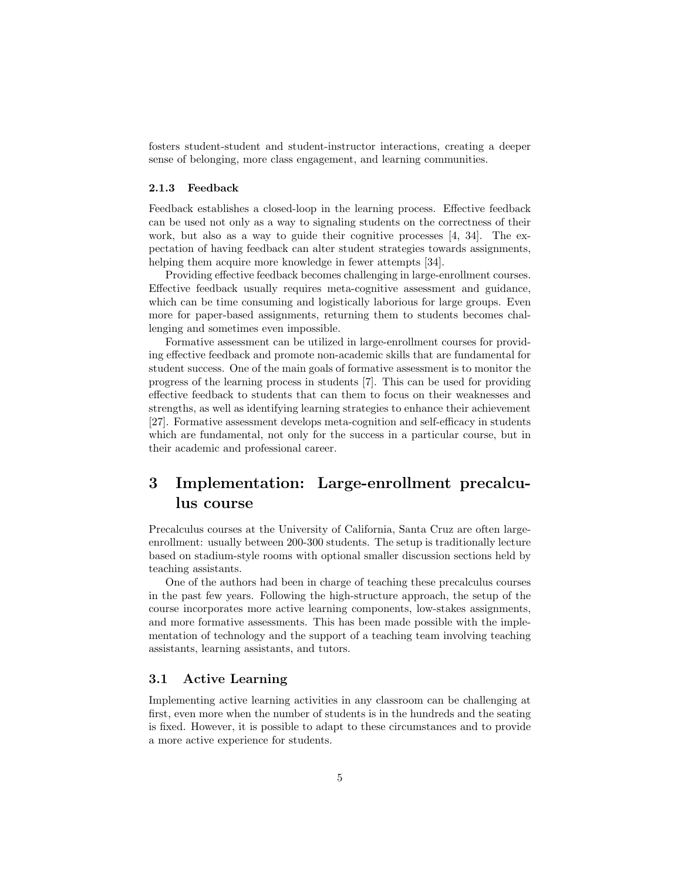fosters student-student and student-instructor interactions, creating a deeper sense of belonging, more class engagement, and learning communities.

### 2.1.3 Feedback

Feedback establishes a closed-loop in the learning process. Effective feedback can be used not only as a way to signaling students on the correctness of their work, but also as a way to guide their cognitive processes [4, 34]. The expectation of having feedback can alter student strategies towards assignments, helping them acquire more knowledge in fewer attempts [34].

Providing effective feedback becomes challenging in large-enrollment courses. Effective feedback usually requires meta-cognitive assessment and guidance, which can be time consuming and logistically laborious for large groups. Even more for paper-based assignments, returning them to students becomes challenging and sometimes even impossible.

Formative assessment can be utilized in large-enrollment courses for providing effective feedback and promote non-academic skills that are fundamental for student success. One of the main goals of formative assessment is to monitor the progress of the learning process in students [7]. This can be used for providing effective feedback to students that can them to focus on their weaknesses and strengths, as well as identifying learning strategies to enhance their achievement [27]. Formative assessment develops meta-cognition and self-efficacy in students which are fundamental, not only for the success in a particular course, but in their academic and professional career.

## 3 Implementation: Large-enrollment precalculus course

Precalculus courses at the University of California, Santa Cruz are often largeenrollment: usually between 200-300 students. The setup is traditionally lecture based on stadium-style rooms with optional smaller discussion sections held by teaching assistants.

One of the authors had been in charge of teaching these precalculus courses in the past few years. Following the high-structure approach, the setup of the course incorporates more active learning components, low-stakes assignments, and more formative assessments. This has been made possible with the implementation of technology and the support of a teaching team involving teaching assistants, learning assistants, and tutors.

## 3.1 Active Learning

Implementing active learning activities in any classroom can be challenging at first, even more when the number of students is in the hundreds and the seating is fixed. However, it is possible to adapt to these circumstances and to provide a more active experience for students.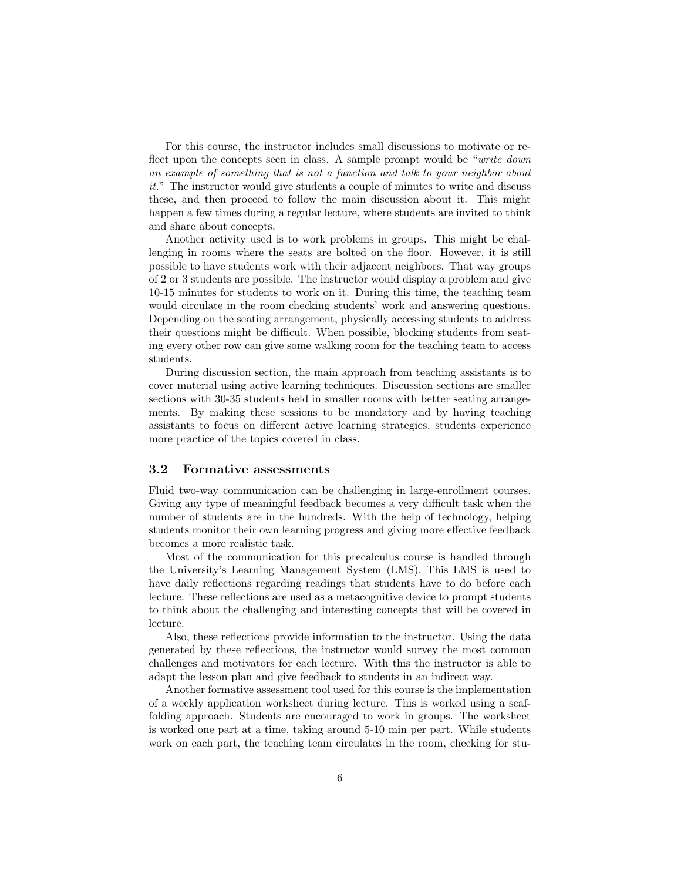For this course, the instructor includes small discussions to motivate or reflect upon the concepts seen in class. A sample prompt would be "*write down* an example of something that is not a function and talk to your neighbor about it." The instructor would give students a couple of minutes to write and discuss these, and then proceed to follow the main discussion about it. This might happen a few times during a regular lecture, where students are invited to think and share about concepts.

Another activity used is to work problems in groups. This might be challenging in rooms where the seats are bolted on the floor. However, it is still possible to have students work with their adjacent neighbors. That way groups of 2 or 3 students are possible. The instructor would display a problem and give 10-15 minutes for students to work on it. During this time, the teaching team would circulate in the room checking students' work and answering questions. Depending on the seating arrangement, physically accessing students to address their questions might be difficult. When possible, blocking students from seating every other row can give some walking room for the teaching team to access students.

During discussion section, the main approach from teaching assistants is to cover material using active learning techniques. Discussion sections are smaller sections with 30-35 students held in smaller rooms with better seating arrangements. By making these sessions to be mandatory and by having teaching assistants to focus on different active learning strategies, students experience more practice of the topics covered in class.

### 3.2 Formative assessments

Fluid two-way communication can be challenging in large-enrollment courses. Giving any type of meaningful feedback becomes a very difficult task when the number of students are in the hundreds. With the help of technology, helping students monitor their own learning progress and giving more effective feedback becomes a more realistic task.

Most of the communication for this precalculus course is handled through the University's Learning Management System (LMS). This LMS is used to have daily reflections regarding readings that students have to do before each lecture. These reflections are used as a metacognitive device to prompt students to think about the challenging and interesting concepts that will be covered in lecture.

Also, these reflections provide information to the instructor. Using the data generated by these reflections, the instructor would survey the most common challenges and motivators for each lecture. With this the instructor is able to adapt the lesson plan and give feedback to students in an indirect way.

Another formative assessment tool used for this course is the implementation of a weekly application worksheet during lecture. This is worked using a scaffolding approach. Students are encouraged to work in groups. The worksheet is worked one part at a time, taking around 5-10 min per part. While students work on each part, the teaching team circulates in the room, checking for stu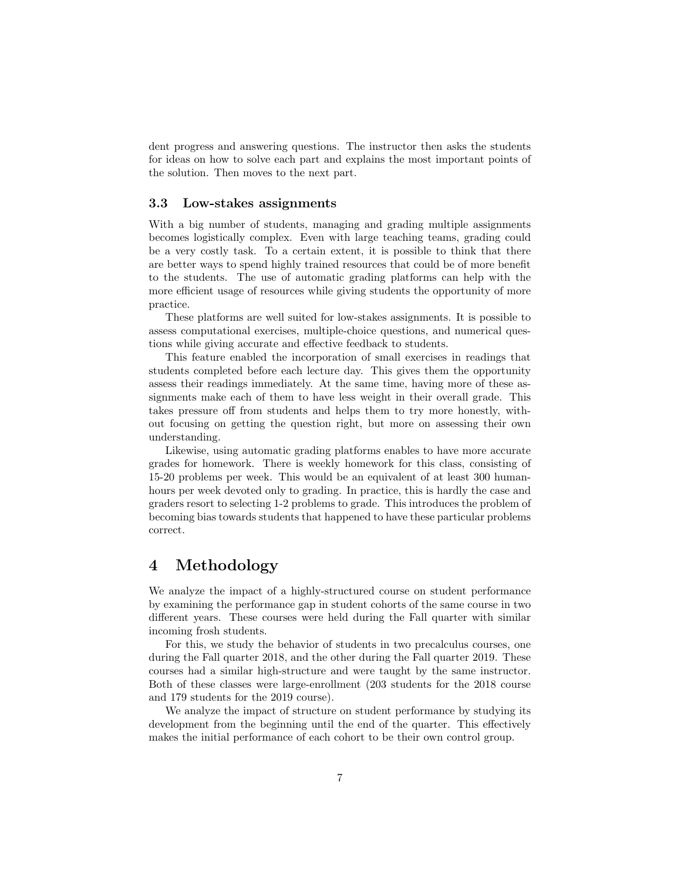dent progress and answering questions. The instructor then asks the students for ideas on how to solve each part and explains the most important points of the solution. Then moves to the next part.

### 3.3 Low-stakes assignments

With a big number of students, managing and grading multiple assignments becomes logistically complex. Even with large teaching teams, grading could be a very costly task. To a certain extent, it is possible to think that there are better ways to spend highly trained resources that could be of more benefit to the students. The use of automatic grading platforms can help with the more efficient usage of resources while giving students the opportunity of more practice.

These platforms are well suited for low-stakes assignments. It is possible to assess computational exercises, multiple-choice questions, and numerical questions while giving accurate and effective feedback to students.

This feature enabled the incorporation of small exercises in readings that students completed before each lecture day. This gives them the opportunity assess their readings immediately. At the same time, having more of these assignments make each of them to have less weight in their overall grade. This takes pressure off from students and helps them to try more honestly, without focusing on getting the question right, but more on assessing their own understanding.

Likewise, using automatic grading platforms enables to have more accurate grades for homework. There is weekly homework for this class, consisting of 15-20 problems per week. This would be an equivalent of at least 300 humanhours per week devoted only to grading. In practice, this is hardly the case and graders resort to selecting 1-2 problems to grade. This introduces the problem of becoming bias towards students that happened to have these particular problems correct.

## 4 Methodology

We analyze the impact of a highly-structured course on student performance by examining the performance gap in student cohorts of the same course in two different years. These courses were held during the Fall quarter with similar incoming frosh students.

For this, we study the behavior of students in two precalculus courses, one during the Fall quarter 2018, and the other during the Fall quarter 2019. These courses had a similar high-structure and were taught by the same instructor. Both of these classes were large-enrollment (203 students for the 2018 course and 179 students for the 2019 course).

We analyze the impact of structure on student performance by studying its development from the beginning until the end of the quarter. This effectively makes the initial performance of each cohort to be their own control group.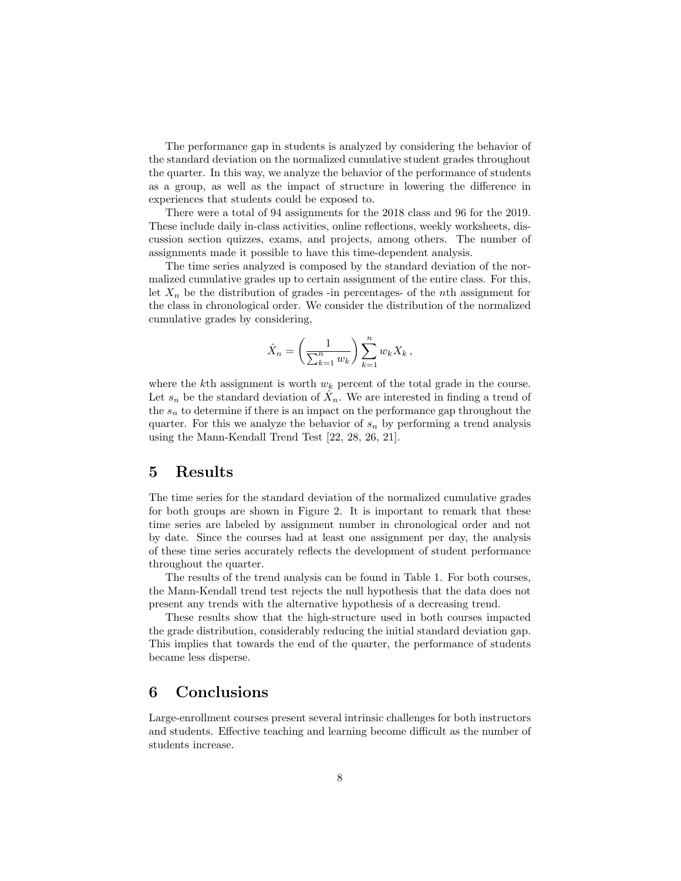The performance gap in students is analyzed by considering the behavior of the standard deviation on the normalized cumulative student grades throughout the quarter. In this way, we analyze the behavior of the performance of students as a group, as well as the impact of structure in lowering the difference in experiences that students could be exposed to.

There were a total of 94 assignments for the 2018 class and 96 for the 2019. These include daily in-class activities, online reflections, weekly worksheets, discussion section quizzes, exams, and projects, among others. The number of assignments made it possible to have this time-dependent analysis.

The time series analyzed is composed by the standard deviation of the normalized cumulative grades up to certain assignment of the entire class. For this, let  $X_n$  be the distribution of grades -in percentages- of the nth assignment for the class in chronological order. We consider the distribution of the normalized cumulative grades by considering,

$$
\hat{X}_n = \left(\frac{1}{\sum_{k=1}^n w_k}\right) \sum_{k=1}^n w_k X_k ,
$$

where the kth assignment is worth  $w_k$  percent of the total grade in the course. Let  $s_n$  be the standard deviation of  $\hat{X}_n$ . We are interested in finding a trend of the  $s_n$  to determine if there is an impact on the performance gap throughout the quarter. For this we analyze the behavior of  $s_n$  by performing a trend analysis using the Mann-Kendall Trend Test [22, 28, 26, 21].

## 5 Results

The time series for the standard deviation of the normalized cumulative grades for both groups are shown in Figure 2. It is important to remark that these time series are labeled by assignment number in chronological order and not by date. Since the courses had at least one assignment per day, the analysis of these time series accurately reflects the development of student performance throughout the quarter.

The results of the trend analysis can be found in Table 1. For both courses, the Mann-Kendall trend test rejects the null hypothesis that the data does not present any trends with the alternative hypothesis of a decreasing trend.

These results show that the high-structure used in both courses impacted the grade distribution, considerably reducing the initial standard deviation gap. This implies that towards the end of the quarter, the performance of students became less disperse.

## 6 Conclusions

Large-enrollment courses present several intrinsic challenges for both instructors and students. Effective teaching and learning become difficult as the number of students increase.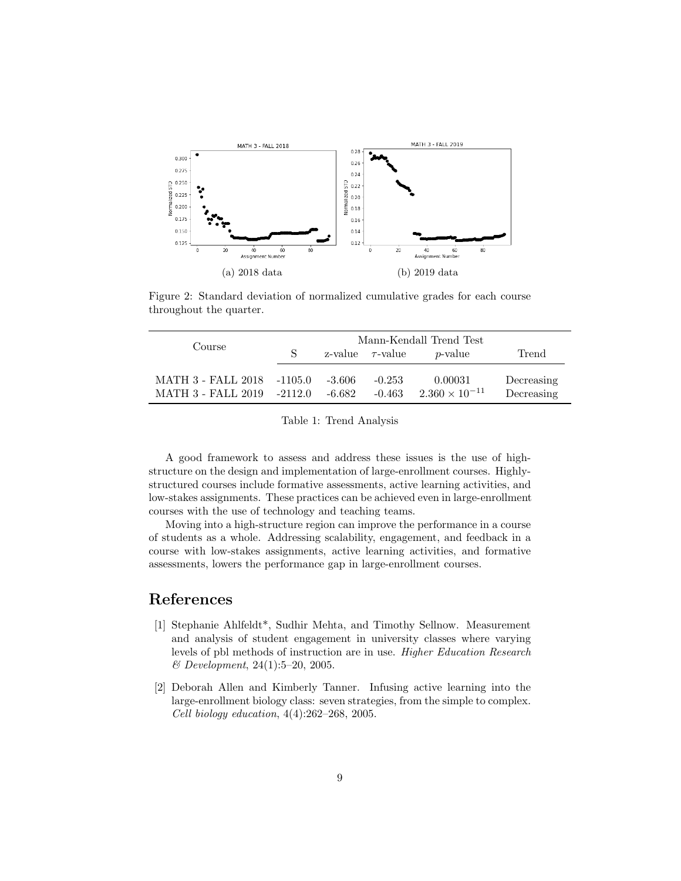

Figure 2: Standard deviation of normalized cumulative grades for each course throughout the quarter.

| Course                                                   | Mann-Kendall Trend Test |                  |                       |                                    |                          |
|----------------------------------------------------------|-------------------------|------------------|-----------------------|------------------------------------|--------------------------|
|                                                          |                         |                  | z-value $\tau$ -value | <i>p</i> -value                    | Trend                    |
| MATH 3 - FALL 2018 -1105.0<br>MATH 3 - FALL 2019 -2112.0 |                         | -3.606<br>-6.682 | $-0.253$<br>$-0.463$  | 0.00031<br>$2.360 \times 10^{-11}$ | Decreasing<br>Decreasing |

Table 1: Trend Analysis

A good framework to assess and address these issues is the use of highstructure on the design and implementation of large-enrollment courses. Highlystructured courses include formative assessments, active learning activities, and low-stakes assignments. These practices can be achieved even in large-enrollment courses with the use of technology and teaching teams.

Moving into a high-structure region can improve the performance in a course of students as a whole. Addressing scalability, engagement, and feedback in a course with low-stakes assignments, active learning activities, and formative assessments, lowers the performance gap in large-enrollment courses.

## References

- [1] Stephanie Ahlfeldt\*, Sudhir Mehta, and Timothy Sellnow. Measurement and analysis of student engagement in university classes where varying levels of pbl methods of instruction are in use. Higher Education Research & Development, 24(1):5–20, 2005.
- [2] Deborah Allen and Kimberly Tanner. Infusing active learning into the large-enrollment biology class: seven strategies, from the simple to complex. Cell biology education, 4(4):262–268, 2005.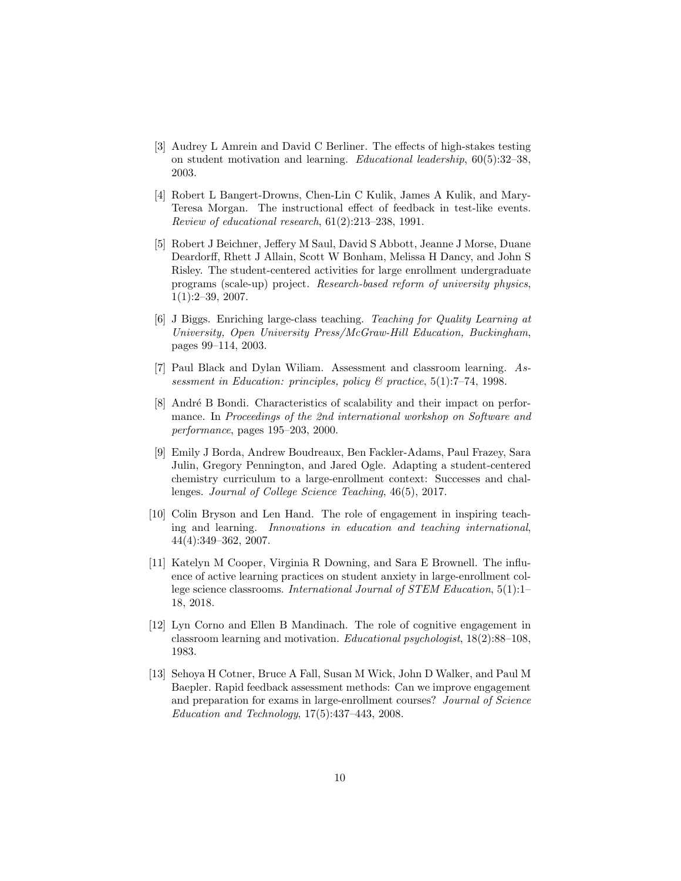- [3] Audrey L Amrein and David C Berliner. The effects of high-stakes testing on student motivation and learning. Educational leadership, 60(5):32–38, 2003.
- [4] Robert L Bangert-Drowns, Chen-Lin C Kulik, James A Kulik, and Mary-Teresa Morgan. The instructional effect of feedback in test-like events. Review of educational research, 61(2):213–238, 1991.
- [5] Robert J Beichner, Jeffery M Saul, David S Abbott, Jeanne J Morse, Duane Deardorff, Rhett J Allain, Scott W Bonham, Melissa H Dancy, and John S Risley. The student-centered activities for large enrollment undergraduate programs (scale-up) project. Research-based reform of university physics, 1(1):2–39, 2007.
- [6] J Biggs. Enriching large-class teaching. Teaching for Quality Learning at University, Open University Press/McGraw-Hill Education, Buckingham, pages 99–114, 2003.
- [7] Paul Black and Dylan Wiliam. Assessment and classroom learning. Assessment in Education: principles, policy & practice, 5(1):7–74, 1998.
- [8] André B Bondi. Characteristics of scalability and their impact on performance. In Proceedings of the 2nd international workshop on Software and performance, pages 195–203, 2000.
- [9] Emily J Borda, Andrew Boudreaux, Ben Fackler-Adams, Paul Frazey, Sara Julin, Gregory Pennington, and Jared Ogle. Adapting a student-centered chemistry curriculum to a large-enrollment context: Successes and challenges. Journal of College Science Teaching, 46(5), 2017.
- [10] Colin Bryson and Len Hand. The role of engagement in inspiring teaching and learning. Innovations in education and teaching international, 44(4):349–362, 2007.
- [11] Katelyn M Cooper, Virginia R Downing, and Sara E Brownell. The influence of active learning practices on student anxiety in large-enrollment college science classrooms. International Journal of STEM Education, 5(1):1– 18, 2018.
- [12] Lyn Corno and Ellen B Mandinach. The role of cognitive engagement in classroom learning and motivation. Educational psychologist, 18(2):88–108, 1983.
- [13] Sehoya H Cotner, Bruce A Fall, Susan M Wick, John D Walker, and Paul M Baepler. Rapid feedback assessment methods: Can we improve engagement and preparation for exams in large-enrollment courses? Journal of Science  $Education$  and Technology,  $17(5):437-443$ ,  $2008$ .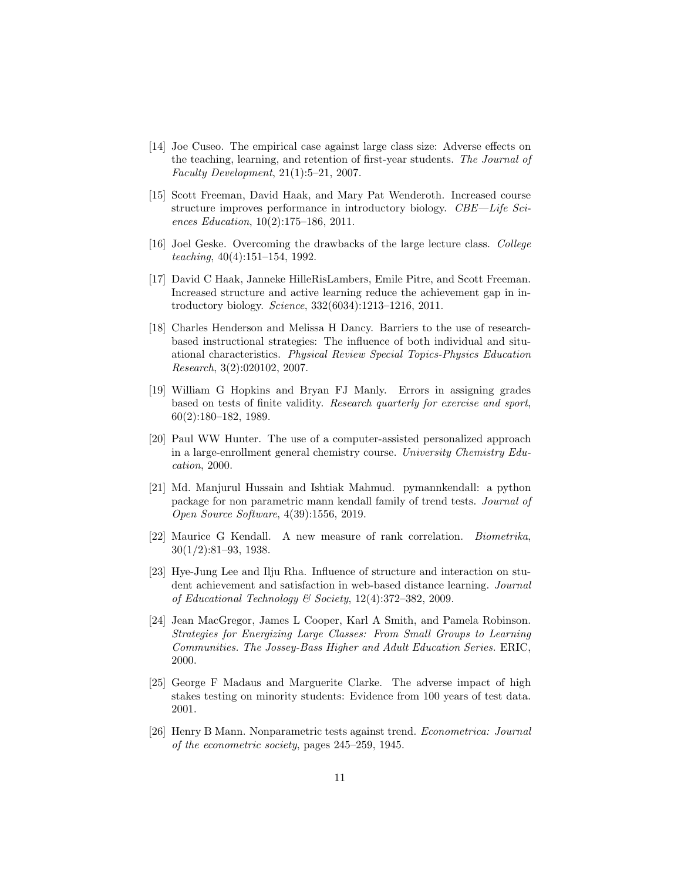- [14] Joe Cuseo. The empirical case against large class size: Adverse effects on the teaching, learning, and retention of first-year students. The Journal of Faculty Development, 21(1):5–21, 2007.
- [15] Scott Freeman, David Haak, and Mary Pat Wenderoth. Increased course structure improves performance in introductory biology. CBE—Life Sciences Education, 10(2):175–186, 2011.
- [16] Joel Geske. Overcoming the drawbacks of the large lecture class. College teaching, 40(4):151–154, 1992.
- [17] David C Haak, Janneke HilleRisLambers, Emile Pitre, and Scott Freeman. Increased structure and active learning reduce the achievement gap in introductory biology. Science, 332(6034):1213–1216, 2011.
- [18] Charles Henderson and Melissa H Dancy. Barriers to the use of researchbased instructional strategies: The influence of both individual and situational characteristics. Physical Review Special Topics-Physics Education Research, 3(2):020102, 2007.
- [19] William G Hopkins and Bryan FJ Manly. Errors in assigning grades based on tests of finite validity. Research quarterly for exercise and sport, 60(2):180–182, 1989.
- [20] Paul WW Hunter. The use of a computer-assisted personalized approach in a large-enrollment general chemistry course. University Chemistry Education, 2000.
- [21] Md. Manjurul Hussain and Ishtiak Mahmud. pymannkendall: a python package for non parametric mann kendall family of trend tests. Journal of Open Source Software, 4(39):1556, 2019.
- [22] Maurice G Kendall. A new measure of rank correlation. Biometrika, 30(1/2):81–93, 1938.
- [23] Hye-Jung Lee and Ilju Rha. Influence of structure and interaction on student achievement and satisfaction in web-based distance learning. Journal of Educational Technology & Society, 12(4):372–382, 2009.
- [24] Jean MacGregor, James L Cooper, Karl A Smith, and Pamela Robinson. Strategies for Energizing Large Classes: From Small Groups to Learning Communities. The Jossey-Bass Higher and Adult Education Series. ERIC, 2000.
- [25] George F Madaus and Marguerite Clarke. The adverse impact of high stakes testing on minority students: Evidence from 100 years of test data. 2001.
- [26] Henry B Mann. Nonparametric tests against trend. Econometrica: Journal of the econometric society, pages 245–259, 1945.